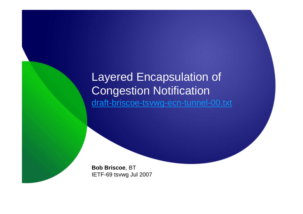## Layered Encapsulation of Congestion Notificationdraft-briscoe-tsvwg-ecn-tunnel-00.txt

**Bob Briscoe**, BTIETF-69 tsvwg Jul 2007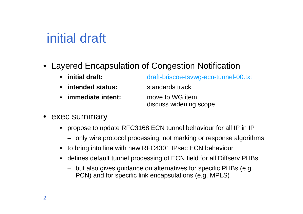# initial draft

• Layered Encapsulation of Congestion Notification

| initial draft:    | draft-briscoe-tsvwg-ecn-tunnel-00.txt     |  |  |
|-------------------|-------------------------------------------|--|--|
| intended status:  | standards track                           |  |  |
| immediate intent: | move to WG item<br>discuss widening scope |  |  |

- • exec summary
	- propose to update RFC3168 ECN tunnel behaviour for all IP in IP
		- only wire protocol processing, not marking or response algorithms
	- to bring into line with new RFC4301 IPsec ECN behaviour
	- • defines default tunnel processing of ECN field for all Diffserv PHBs
		- but also gives guidance on alternatives for specific PHBs (e.g. PCN) and for specific link encapsulations (e.g. MPLS)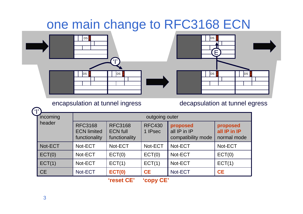# one main change to RFC3168 ECN





encapsulation at tunnel ingress decapsulation at tunnel egress

| ្យ |           |                                                       |                                                    |                          |                                                |                                         |  |
|----|-----------|-------------------------------------------------------|----------------------------------------------------|--------------------------|------------------------------------------------|-----------------------------------------|--|
|    | incoming  | outgoing outer                                        |                                                    |                          |                                                |                                         |  |
|    | header    | <b>RFC3168</b><br><b>ECN limited</b><br>functionality | <b>RFC3168</b><br><b>ECN full</b><br>functionality | <b>RFC430</b><br>1 IPsec | proposed<br>all IP in IP<br>compatibility mode | proposed<br>all IP in IP<br>normal mode |  |
|    | Not-ECT   | Not-ECT                                               | Not-ECT                                            | Not-ECT                  | Not-ECT                                        | Not-ECT                                 |  |
|    | ECT(0)    | Not-ECT                                               | ECT(0)                                             | ECT(0)                   | Not-ECT                                        | ECT(0)                                  |  |
|    | ECT(1)    | Not-ECT                                               | ECT(1)                                             | ECT(1)                   | Not-ECT                                        | ECT(1)                                  |  |
|    | <b>CE</b> | Not-ECT                                               | <b>ECT(0)</b>                                      | <b>CE</b>                | Not-ECT                                        | <b>CE</b>                               |  |

**'reset CE' 'copy CE'**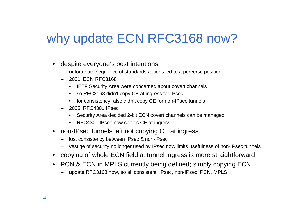# why update ECN RFC3168 now?

- • despite everyone's best intentions
	- unfortunate sequence of standards actions led to a perverse position..
	- 2001: ECN RFC3168
		- IETF Security Area were concerned about covert channels
		- so RFC3168 didn't copy CE at ingress for IPsec
		- for consistency, also didn't copy CE for non-IPsec tunnels
	- 2005: RFC4301 IPsec
		- Security Area decided 2-bit ECN covert channels can be managed
		- RFC4301 IPsec now copies CE at ingress
- • non-IPsec tunnels left not copying CE at ingress
	- lost consistency between IPsec & non-IPsec
	- vestige of security no longer used by IPsec now limits usefulness of non-IPsec tunnels
- copying of whole ECN field at tunnel ingress is more straightforward
- PCN & ECN in MPLS currently being defined; simply copying ECN
	- update RFC3168 now, so all consistent: IPsec, non-IPsec, PCN, MPLS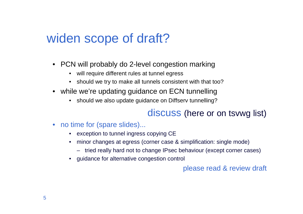# widen scope of draft?

- PCN will probably do 2-level congestion marking
	- will require different rules at tunnel egress
	- should we try to make all tunnels consistent with that too?
- while we're updating guidance on ECN tunnelling
	- should we also update guidance on Diffserv tunnelling?

#### discuss (here or on tsvwg list)

- no time for (spare slides)...
	- exception to tunnel ingress copying CE
	- minor changes at egress (corner case & simplification: single mode)•
		- tried really hard not to change IPsec behaviour (except corner cases)
	- guidance for alternative congestion control

#### please read & review draft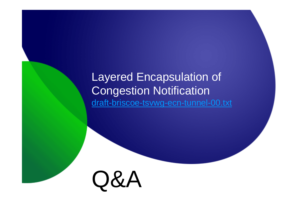## Layered Encapsulation of Congestion Notificationdraft-briscoe-tsvwg-ecn-tunnel-00.txt

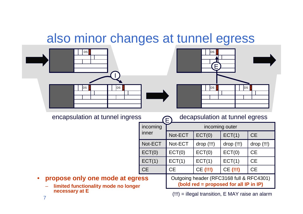# also minor changes at tunnel egress





encapsulation at tunnel ingress decapsulation at tunnel egress

| ບ         |                   | accapsulation at turnici cyrcss<br>LE 1                                            |            |            |            |  |  |
|-----------|-------------------|------------------------------------------------------------------------------------|------------|------------|------------|--|--|
|           | incoming<br>inner | incoming outer                                                                     |            |            |            |  |  |
|           |                   | Not-ECT                                                                            | ECT(0)     | ECT(1)     | <b>CE</b>  |  |  |
|           | Not-ECT           | Not-ECT                                                                            | drop (!!!) | drop (!!!) | drop (!!!) |  |  |
|           | ECT(0)            | ECT(0)                                                                             | ECT(0)     | ECT(0)     | <b>CE</b>  |  |  |
|           | ECT(1)            | ECT(1)                                                                             | ECT(1)     | ECT(1)     | <b>CE</b>  |  |  |
|           | <b>CE</b>         | <b>CE</b>                                                                          | CE (!!!)   | CE (!!!)   | <b>CE</b>  |  |  |
| ess<br>r. |                   | Outgoing header (RFC3168 full & RFC4301)<br>(bold red = proposed for all IP in IP) |            |            |            |  |  |

#### •**propose only one mode at egree**

– **limited functionality mode no longer necessary at E**

(!!!) = illegal transition, E MAY raise an alarm

7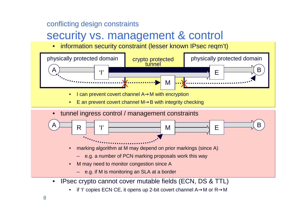#### conflicting design constraints

## security vs. management & control

•information security constraint (lesser known IPsec reqm't)



•if 'I' copies ECN CE, it opens up 2-bit covert channel A→M or R→M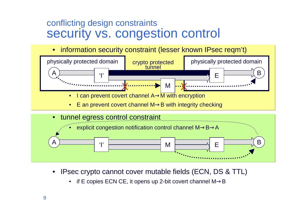### conflicting design constraintssecurity vs. congestion control

•information security constraint (lesser known IPsec reqm't)



- • IPsec crypto cannot cover mutable fields (ECN, DS & TTL)
	- •if E copies ECN CE, it opens up 2-bit covert channel  $M\rightarrow B$